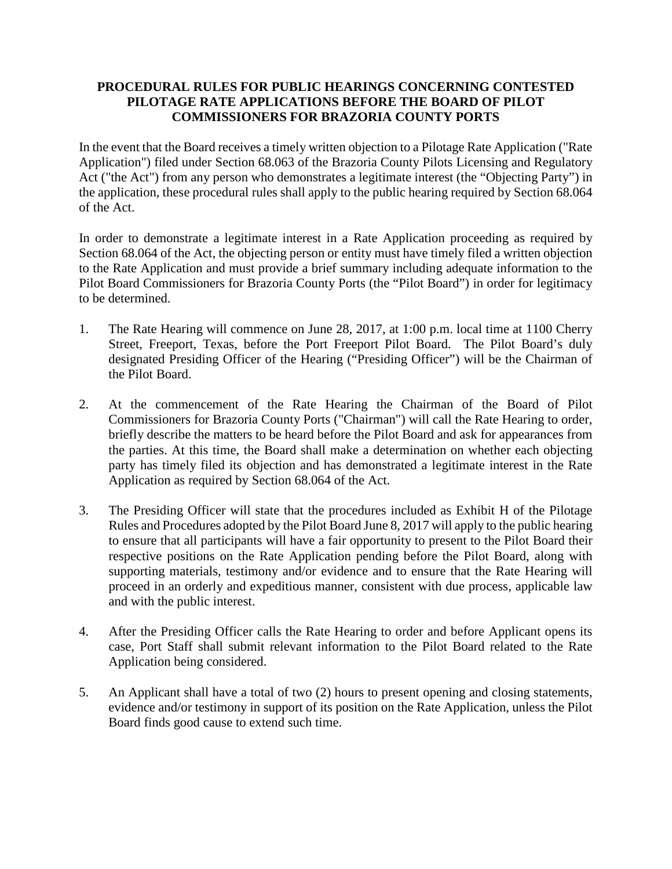## **PROCEDURAL RULES FOR PUBLIC HEARINGS CONCERNING CONTESTED PILOTAGE RATE APPLICATIONS BEFORE THE BOARD OF PILOT COMMISSIONERS FOR BRAZORIA COUNTY PORTS**

In the event that the Board receives a timely written objection to a Pilotage Rate Application ("Rate Application") filed under Section 68.063 of the Brazoria County Pilots Licensing and Regulatory Act ("the Act") from any person who demonstrates a legitimate interest (the "Objecting Party") in the application, these procedural rules shall apply to the public hearing required by Section 68.064 of the Act.

In order to demonstrate a legitimate interest in a Rate Application proceeding as required by Section 68.064 of the Act, the objecting person or entity must have timely filed a written objection to the Rate Application and must provide a brief summary including adequate information to the Pilot Board Commissioners for Brazoria County Ports (the "Pilot Board") in order for legitimacy to be determined.

- 1. The Rate Hearing will commence on June 28, 2017, at 1:00 p.m. local time at 1100 Cherry Street, Freeport, Texas, before the Port Freeport Pilot Board. The Pilot Board's duly designated Presiding Officer of the Hearing ("Presiding Officer") will be the Chairman of the Pilot Board.
- 2. At the commencement of the Rate Hearing the Chairman of the Board of Pilot Commissioners for Brazoria County Ports ("Chairman") will call the Rate Hearing to order, briefly describe the matters to be heard before the Pilot Board and ask for appearances from the parties. At this time, the Board shall make a determination on whether each objecting party has timely filed its objection and has demonstrated a legitimate interest in the Rate Application as required by Section 68.064 of the Act.
- 3. The Presiding Officer will state that the procedures included as Exhibit H of the Pilotage Rules and Procedures adopted by the Pilot Board June 8, 2017 will apply to the public hearing to ensure that all participants will have a fair opportunity to present to the Pilot Board their respective positions on the Rate Application pending before the Pilot Board, along with supporting materials, testimony and/or evidence and to ensure that the Rate Hearing will proceed in an orderly and expeditious manner, consistent with due process, applicable law and with the public interest.
- 4. After the Presiding Officer calls the Rate Hearing to order and before Applicant opens its case, Port Staff shall submit relevant information to the Pilot Board related to the Rate Application being considered.
- 5. An Applicant shall have a total of two (2) hours to present opening and closing statements, evidence and/or testimony in support of its position on the Rate Application, unless the Pilot Board finds good cause to extend such time.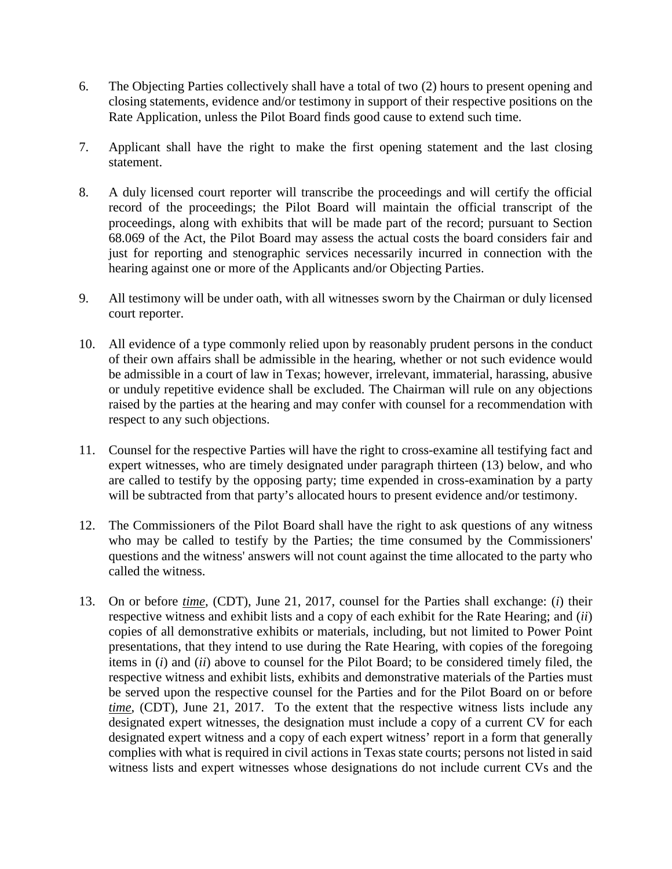- 6. The Objecting Parties collectively shall have a total of two (2) hours to present opening and closing statements, evidence and/or testimony in support of their respective positions on the Rate Application, unless the Pilot Board finds good cause to extend such time.
- 7. Applicant shall have the right to make the first opening statement and the last closing statement.
- 8. A duly licensed court reporter will transcribe the proceedings and will certify the official record of the proceedings; the Pilot Board will maintain the official transcript of the proceedings, along with exhibits that will be made part of the record; pursuant to Section 68.069 of the Act, the Pilot Board may assess the actual costs the board considers fair and just for reporting and stenographic services necessarily incurred in connection with the hearing against one or more of the Applicants and/or Objecting Parties.
- 9. All testimony will be under oath, with all witnesses sworn by the Chairman or duly licensed court reporter.
- 10. All evidence of a type commonly relied upon by reasonably prudent persons in the conduct of their own affairs shall be admissible in the hearing, whether or not such evidence would be admissible in a court of law in Texas; however, irrelevant, immaterial, harassing, abusive or unduly repetitive evidence shall be excluded. The Chairman will rule on any objections raised by the parties at the hearing and may confer with counsel for a recommendation with respect to any such objections.
- 11. Counsel for the respective Parties will have the right to cross-examine all testifying fact and expert witnesses, who are timely designated under paragraph thirteen (13) below, and who are called to testify by the opposing party; time expended in cross-examination by a party will be subtracted from that party's allocated hours to present evidence and/or testimony.
- 12. The Commissioners of the Pilot Board shall have the right to ask questions of any witness who may be called to testify by the Parties; the time consumed by the Commissioners' questions and the witness' answers will not count against the time allocated to the party who called the witness.
- 13. On or before *time*, (CDT), June 21, 2017, counsel for the Parties shall exchange: (*i*) their respective witness and exhibit lists and a copy of each exhibit for the Rate Hearing; and (*ii*) copies of all demonstrative exhibits or materials, including, but not limited to Power Point presentations, that they intend to use during the Rate Hearing, with copies of the foregoing items in (*i*) and (*ii*) above to counsel for the Pilot Board; to be considered timely filed, the respective witness and exhibit lists, exhibits and demonstrative materials of the Parties must be served upon the respective counsel for the Parties and for the Pilot Board on or before *time*, (CDT), June 21, 2017. To the extent that the respective witness lists include any designated expert witnesses, the designation must include a copy of a current CV for each designated expert witness and a copy of each expert witness' report in a form that generally complies with what is required in civil actions in Texas state courts; persons not listed in said witness lists and expert witnesses whose designations do not include current CVs and the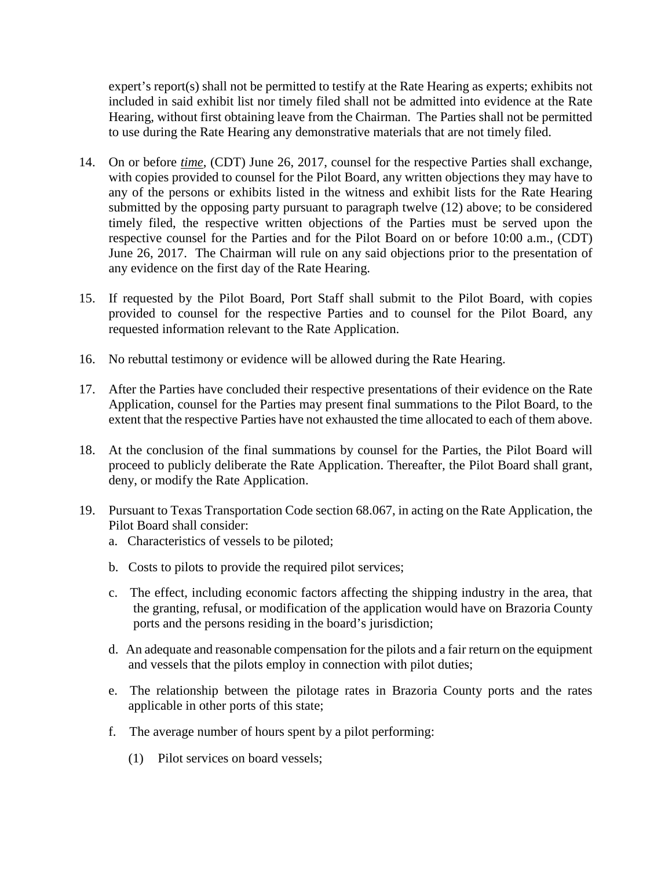expert's report(s) shall not be permitted to testify at the Rate Hearing as experts; exhibits not included in said exhibit list nor timely filed shall not be admitted into evidence at the Rate Hearing, without first obtaining leave from the Chairman. The Parties shall not be permitted to use during the Rate Hearing any demonstrative materials that are not timely filed.

- 14. On or before *time*, (CDT) June 26, 2017, counsel for the respective Parties shall exchange, with copies provided to counsel for the Pilot Board, any written objections they may have to any of the persons or exhibits listed in the witness and exhibit lists for the Rate Hearing submitted by the opposing party pursuant to paragraph twelve (12) above; to be considered timely filed, the respective written objections of the Parties must be served upon the respective counsel for the Parties and for the Pilot Board on or before 10:00 a.m., (CDT) June 26, 2017. The Chairman will rule on any said objections prior to the presentation of any evidence on the first day of the Rate Hearing.
- 15. If requested by the Pilot Board, Port Staff shall submit to the Pilot Board, with copies provided to counsel for the respective Parties and to counsel for the Pilot Board, any requested information relevant to the Rate Application.
- 16. No rebuttal testimony or evidence will be allowed during the Rate Hearing.
- 17. After the Parties have concluded their respective presentations of their evidence on the Rate Application, counsel for the Parties may present final summations to the Pilot Board, to the extent that the respective Parties have not exhausted the time allocated to each of them above.
- 18. At the conclusion of the final summations by counsel for the Parties, the Pilot Board will proceed to publicly deliberate the Rate Application. Thereafter, the Pilot Board shall grant, deny, or modify the Rate Application.
- 19. Pursuant to Texas Transportation Code section 68.067, in acting on the Rate Application, the Pilot Board shall consider:
	- a. Characteristics of vessels to be piloted;
	- b. Costs to pilots to provide the required pilot services;
	- c. The effect, including economic factors affecting the shipping industry in the area, that the granting, refusal, or modification of the application would have on Brazoria County ports and the persons residing in the board's jurisdiction;
	- d. An adequate and reasonable compensation for the pilots and a fair return on the equipment and vessels that the pilots employ in connection with pilot duties;
	- e. The relationship between the pilotage rates in Brazoria County ports and the rates applicable in other ports of this state;
	- f. The average number of hours spent by a pilot performing:
		- (1) Pilot services on board vessels;